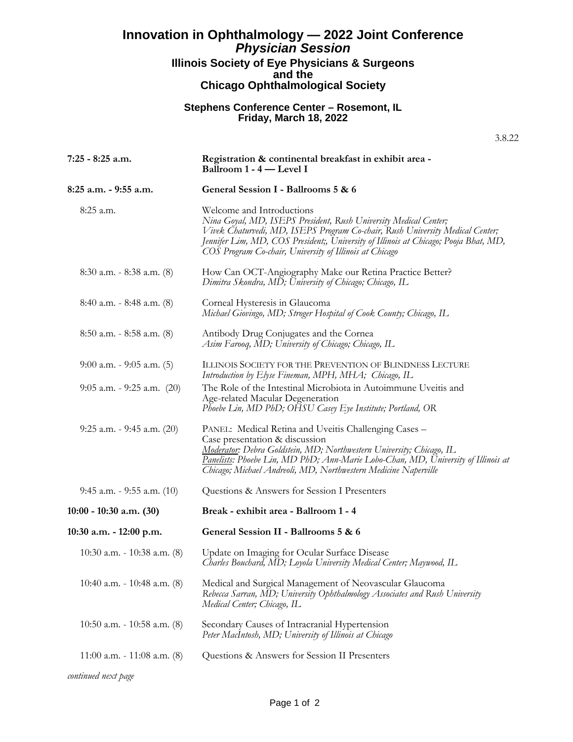## **Innovation in Ophthalmology — 2022 Joint Conference** *Physician Session* **Illinois Society of Eye Physicians & Surgeons and the Chicago Ophthalmological Society**

## **Stephens Conference Center – Rosemont, IL Friday, March 18, 2022**

3.8.22

| $7:25 - 8:25$ a.m.               | Registration & continental breakfast in exhibit area -<br>Ballroom 1 - 4 — Level I                                                                                                                                                                                                                                                |
|----------------------------------|-----------------------------------------------------------------------------------------------------------------------------------------------------------------------------------------------------------------------------------------------------------------------------------------------------------------------------------|
| $8:25$ a.m. $-9:55$ a.m.         | General Session I - Ballrooms 5 & 6                                                                                                                                                                                                                                                                                               |
| 8:25 a.m.                        | Welcome and Introductions<br>Nina Goyal, MD, ISEPS President, Rush University Medical Center;<br>Vivek Chaturvedi, MD, ISEPS Program Co-chair, Rush University Medical Center;<br>Jennifer Lim, MD, COS President;, University of Illinois at Chicago; Pooja Bhat, MD,<br>COS Program Co-chair, University of Illinois at Chicago |
| $8:30$ a.m. $-8:38$ a.m. $(8)$   | How Can OCT-Angiography Make our Retina Practice Better?<br>Dimitra Skondra, MD; University of Chicago; Chicago, IL                                                                                                                                                                                                               |
| $8:40$ a.m. - $8:48$ a.m. $(8)$  | Corneal Hysteresis in Glaucoma<br>Michael Giovingo, MD; Stroger Hospital of Cook County; Chicago, IL                                                                                                                                                                                                                              |
| $8:50$ a.m. $-8:58$ a.m. $(8)$   | Antibody Drug Conjugates and the Cornea<br>Asim Farooq, MD; University of Chicago; Chicago, IL                                                                                                                                                                                                                                    |
| $9:00$ a.m. - $9:05$ a.m. (5)    | ILLINOIS SOCIETY FOR THE PREVENTION OF BLINDNESS LECTURE<br>Introduction by Elyse Fineman, MPH, MHA; Chicago, IL                                                                                                                                                                                                                  |
| $9:05$ a.m. - $9:25$ a.m. $(20)$ | The Role of the Intestinal Microbiota in Autoimmune Uveitis and<br>Age-related Macular Degeneration<br>Phoebe Lin, MD PhD; OHSU Casey Eye Institute; Portland, OR                                                                                                                                                                 |
| $9:25$ a.m. - $9:45$ a.m. $(20)$ | PANEL: Medical Retina and Uveitis Challenging Cases -<br>Case presentation & discussion<br>Moderator: Debra Goldstein, MD; Northwestern University; Chicago, IL<br>Panelists: Phoebe Lin, MD PhD; Ann-Marie Lobo-Chan, MD, University of Illinois at<br>Chicago; Michael Andreoli, MD, Northwestern Medicine Naperville           |
| $9:45$ a.m. - $9:55$ a.m. $(10)$ | Questions & Answers for Session I Presenters                                                                                                                                                                                                                                                                                      |
| $10:00 - 10:30$ a.m. $(30)$      | Break - exhibit area - Ballroom 1 - 4                                                                                                                                                                                                                                                                                             |
| $10:30$ a.m. $-12:00$ p.m.       | General Session II - Ballrooms 5 & 6                                                                                                                                                                                                                                                                                              |
| $10:30$ a.m. $-10:38$ a.m. $(8)$ | Update on Imaging for Ocular Surface Disease<br>Charles Bouchard, MD; Loyola University Medical Center; Maywood, IL                                                                                                                                                                                                               |
| 10:40 a.m. $- 10:48$ a.m. $(8)$  | Medical and Surgical Management of Neovascular Glaucoma<br>Rebecca Sarran, MD; University Ophthalmology Associates and Rush University<br>Medical Center; Chicago, IL                                                                                                                                                             |
| 10:50 a.m. - 10:58 a.m. $(8)$    | Secondary Causes of Intracranial Hypertension<br>Peter MacIntosh, MD; University of Illinois at Chicago                                                                                                                                                                                                                           |
| 11:00 a.m. - 11:08 a.m. $(8)$    | Questions & Answers for Session II Presenters                                                                                                                                                                                                                                                                                     |
| continued next page              |                                                                                                                                                                                                                                                                                                                                   |